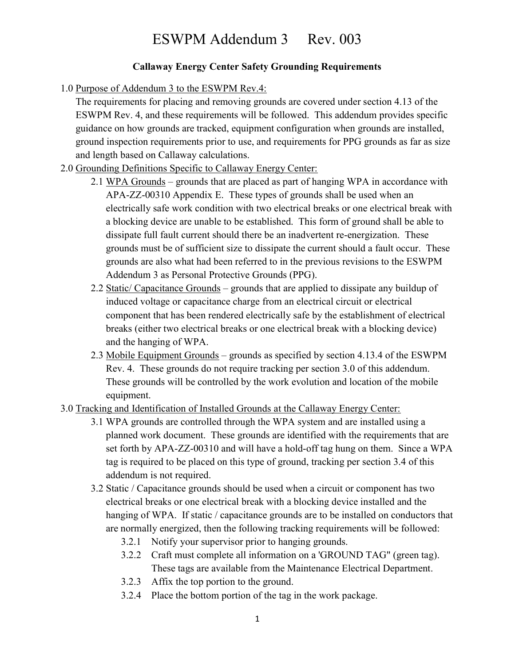## ESWPM Addendum 3 Rev. 003

## Callaway Energy Center Safety Grounding Requirements

1.0 Purpose of Addendum 3 to the ESWPM Rev.4:

The requirements for placing and removing grounds are covered under section 4.13 of the ESWPM Rev. 4, and these requirements will be followed. This addendum provides specific guidance on how grounds are tracked, equipment configuration when grounds are installed, ground inspection requirements prior to use, and requirements for PPG grounds as far as size and length based on Callaway calculations.

- 2.0 Grounding Definitions Specific to Callaway Energy Center:
	- 2.1 WPA Grounds grounds that are placed as part of hanging WPA in accordance with APA-ZZ-00310 Appendix E. These types of grounds shall be used when an electrically safe work condition with two electrical breaks or one electrical break with a blocking device are unable to be established. This form of ground shall be able to dissipate full fault current should there be an inadvertent re-energization. These grounds must be of sufficient size to dissipate the current should a fault occur. These grounds are also what had been referred to in the previous revisions to the ESWPM Addendum 3 as Personal Protective Grounds (PPG).
	- 2.2 Static/ Capacitance Grounds grounds that are applied to dissipate any buildup of induced voltage or capacitance charge from an electrical circuit or electrical component that has been rendered electrically safe by the establishment of electrical breaks (either two electrical breaks or one electrical break with a blocking device) and the hanging of WPA.
	- 2.3 Mobile Equipment Grounds grounds as specified by section 4.13.4 of the ESWPM Rev. 4. These grounds do not require tracking per section 3.0 of this addendum. These grounds will be controlled by the work evolution and location of the mobile equipment.
- 3.0 Tracking and Identification of Installed Grounds at the Callaway Energy Center:
	- 3.1 WPA grounds are controlled through the WPA system and are installed using a planned work document. These grounds are identified with the requirements that are set forth by APA-ZZ-00310 and will have a hold-off tag hung on them. Since a WPA tag is required to be placed on this type of ground, tracking per section 3.4 of this addendum is not required.
	- 3.2 Static / Capacitance grounds should be used when a circuit or component has two electrical breaks or one electrical break with a blocking device installed and the hanging of WPA. If static / capacitance grounds are to be installed on conductors that are normally energized, then the following tracking requirements will be followed:
		- 3.2.1 Notify your supervisor prior to hanging grounds.
		- 3.2.2 Craft must complete all information on a 'GROUND TAG" (green tag). These tags are available from the Maintenance Electrical Department.
		- 3.2.3 Affix the top portion to the ground.
		- 3.2.4 Place the bottom portion of the tag in the work package.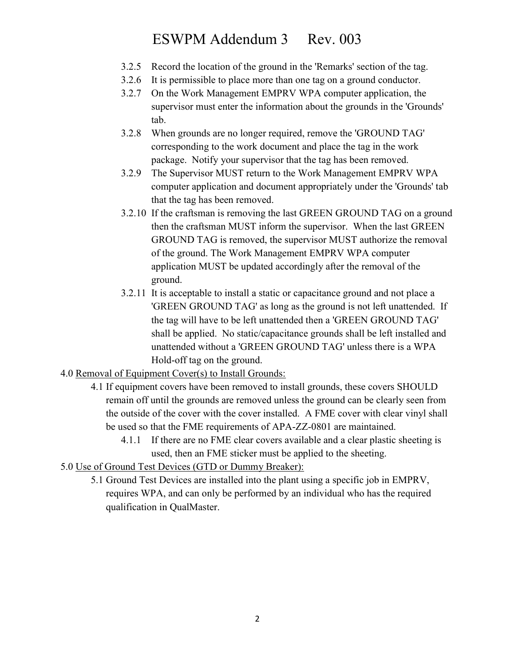## ESWPM Addendum 3 Rev. 003

- 3.2.5 Record the location of the ground in the 'Remarks' section of the tag.
- 3.2.6 It is permissible to place more than one tag on a ground conductor.
- 3.2.7 On the Work Management EMPRV WPA computer application, the supervisor must enter the information about the grounds in the 'Grounds' tab.
- 3.2.8 When grounds are no longer required, remove the 'GROUND TAG' corresponding to the work document and place the tag in the work package. Notify your supervisor that the tag has been removed.
- 3.2.9 The Supervisor MUST return to the Work Management EMPRV WPA computer application and document appropriately under the 'Grounds' tab that the tag has been removed.
- 3.2.10 If the craftsman is removing the last GREEN GROUND TAG on a ground then the craftsman MUST inform the supervisor. When the last GREEN GROUND TAG is removed, the supervisor MUST authorize the removal of the ground. The Work Management EMPRV WPA computer application MUST be updated accordingly after the removal of the ground.
- 3.2.11 It is acceptable to install a static or capacitance ground and not place a 'GREEN GROUND TAG' as long as the ground is not left unattended. If the tag will have to be left unattended then a 'GREEN GROUND TAG' shall be applied. No static/capacitance grounds shall be left installed and unattended without a 'GREEN GROUND TAG' unless there is a WPA Hold-off tag on the ground.
- 4.0 Removal of Equipment Cover(s) to Install Grounds:
	- 4.1 If equipment covers have been removed to install grounds, these covers SHOULD remain off until the grounds are removed unless the ground can be clearly seen from the outside of the cover with the cover installed. A FME cover with clear vinyl shall be used so that the FME requirements of APA-ZZ-0801 are maintained.
		- 4.1.1 If there are no FME clear covers available and a clear plastic sheeting is used, then an FME sticker must be applied to the sheeting.
- 5.0 Use of Ground Test Devices (GTD or Dummy Breaker):
	- 5.1 Ground Test Devices are installed into the plant using a specific job in EMPRV, requires WPA, and can only be performed by an individual who has the required qualification in QualMaster.